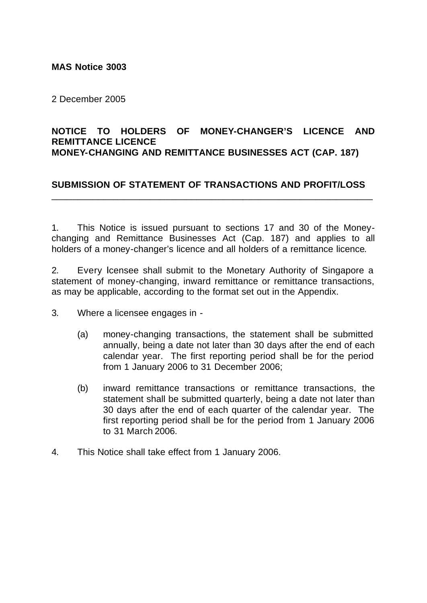## **MAS Notice 3003**

2 December 2005

## **NOTICE TO HOLDERS OF MONEY-CHANGER'S LICENCE AND REMITTANCE LICENCE MONEY-CHANGING AND REMITTANCE BUSINESSES ACT (CAP. 187)**

# **SUBMISSION OF STATEMENT OF TRANSACTIONS AND PROFIT/LOSS** \_\_\_\_\_\_\_\_\_\_\_\_\_\_\_\_\_\_\_\_\_\_\_\_\_\_\_\_\_\_\_\_\_\_\_\_\_\_\_\_\_\_\_\_\_\_\_\_\_\_\_\_\_\_\_\_\_\_\_\_\_\_

1. This Notice is issued pursuant to sections 17 and 30 of the Moneychanging and Remittance Businesses Act (Cap. 187) and applies to all holders of a money-changer's licence and all holders of a remittance licence.

2. Every Icensee shall submit to the Monetary Authority of Singapore a statement of money-changing, inward remittance or remittance transactions, as may be applicable, according to the format set out in the Appendix.

- 3. Where a licensee engages in
	- (a) money-changing transactions, the statement shall be submitted annually, being a date not later than 30 days after the end of each calendar year. The first reporting period shall be for the period from 1 January 2006 to 31 December 2006;
	- (b) inward remittance transactions or remittance transactions, the statement shall be submitted quarterly, being a date not later than 30 days after the end of each quarter of the calendar year. The first reporting period shall be for the period from 1 January 2006 to 31 March 2006.
- 4. This Notice shall take effect from 1 January 2006.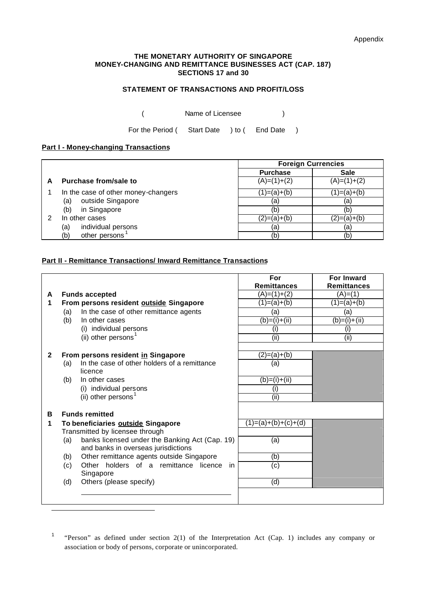#### **THE MONETARY AUTHORITY OF SINGAPORE MONEY-CHANGING AND REMITTANCE BUSINESSES ACT (CAP. 187) SECTIONS 17 and 30**

### **STATEMENT OF TRANSACTIONS AND PROFIT/LOSS**

( Name of Licensee )

For the Period (Start Date ) to (End Date )

#### **Part I - Money-changing Transactions**

j

|                                     | <b>Foreign Currencies</b> |               |
|-------------------------------------|---------------------------|---------------|
|                                     | <b>Purchase</b>           | <b>Sale</b>   |
| Purchase from/sale to               | $(A)=(1)+(2)$             | $(A)=(1)+(2)$ |
| In the case of other money-changers | (1)=(a)+(b)               | (1)=(a)+(b)   |
| outside Singapore<br>(a)            | (a)                       | (a)           |
| in Singapore<br>(b)                 | (b                        | (b)           |
| In other cases                      | (2)=(a)+(b)               | (2)=(a)+(b)   |
| individual persons<br>(a)           | (a)                       | (a)           |
| other persons<br>(b)                | (b)                       | (b)           |

### **Part II - Remittance Transactions/ Inward Remittance Transactions**

|              |                                    |                                                | For<br><b>Remittances</b> | <b>For Inward</b><br><b>Remittances</b> |
|--------------|------------------------------------|------------------------------------------------|---------------------------|-----------------------------------------|
| A            |                                    | <b>Funds accepted</b>                          | $(A)=(1)+(2)$             | (A)=(1)                                 |
| 1            |                                    | From persons resident outside Singapore        | $(1)=(a)+(b)$             | $(1)=(a)+(b)$                           |
|              | (a)                                | In the case of other remittance agents         | (a)                       | (a)                                     |
|              | (b)                                | In other cases                                 | $(b)=(i)+(ii)$            | $(b)=$ (i)+(ii)                         |
|              |                                    | (i) individual persons                         | (i)                       | (i)                                     |
|              |                                    | (ii) other persons <sup>1</sup>                | (ii)                      | (iii)                                   |
|              |                                    |                                                |                           |                                         |
| $\mathbf{2}$ | From persons resident in Singapore |                                                | $(2)=(a)+(b)$             |                                         |
|              | (a)                                | In the case of other holders of a remittance   | (a)                       |                                         |
|              |                                    | licence                                        |                           |                                         |
|              | (b)                                | In other cases                                 | $(b)=(i)+(ii)$            |                                         |
|              |                                    | (i) individual persons                         | (i)                       |                                         |
|              |                                    | (ii) other persons <sup>1</sup>                | (iii)                     |                                         |
| в            |                                    | <b>Funds remitted</b>                          |                           |                                         |
| 1            | To beneficiaries outside Singapore |                                                | $(1)=(a)+(b)+(c)+(d)$     |                                         |
|              |                                    | Transmitted by licensee through                |                           |                                         |
|              | (a)                                | banks licensed under the Banking Act (Cap. 19) | (a)                       |                                         |
|              |                                    | and banks in overseas jurisdictions            |                           |                                         |
|              | (b)                                | Other remittance agents outside Singapore      | (b)                       |                                         |
|              | (c)                                | Other holders of a remittance licence<br>in.   | (c)                       |                                         |
|              |                                    | Singapore                                      |                           |                                         |
|              | (d)                                | Others (please specify)                        | (d)                       |                                         |
|              |                                    |                                                |                           |                                         |
|              |                                    |                                                |                           |                                         |

<sup>1</sup> "Person" as defined under section 2(1) of the Interpretation Act (Cap. 1) includes any company or association or body of persons, corporate or unincorporated.